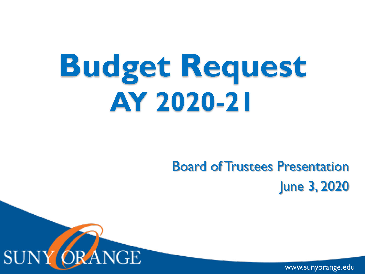# **Budget Request AY 2020-21**

#### Board of Trustees Presentation June 3, 2020



www.sunyorange.edu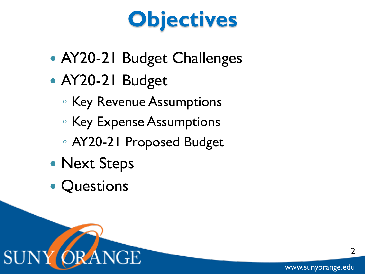# **Objectives**

- AY20-21 Budget Challenges
- AY20-21 Budget
	- Key Revenue Assumptions
	- Key Expense Assumptions
	- AY20-21 Proposed Budget
- Next Steps
- **Questions**



2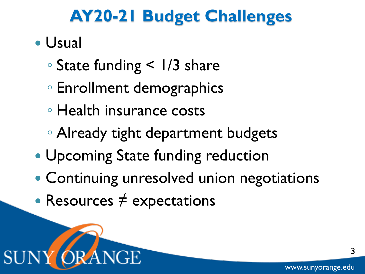### **AY20-21 Budget Challenges**

- Usual
	- State funding < 1/3 share
	- Enrollment demographics
	- Health insurance costs
	- Already tight department budgets
- Upcoming State funding reduction
- Continuing unresolved union negotiations
- Resources  $\neq$  expectations

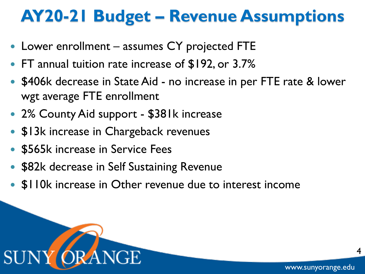### **AY20-21 Budget – Revenue Assumptions**

- Lower enrollment assumes CY projected FTE
- FT annual tuition rate increase of \$192, or 3.7%
- \$406k decrease in State Aid no increase in per FTE rate & lower wgt average FTE enrollment
- 2% County Aid support \$381k increase
- \$13k increase in Chargeback revenues
- \$565k increase in Service Fees
- \$82k decrease in Self Sustaining Revenue
- \$110k increase in Other revenue due to interest income



4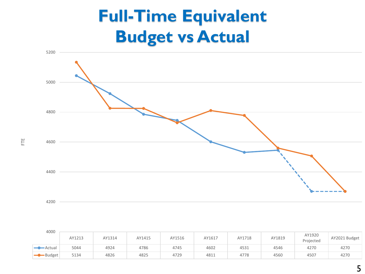## **Full-Time Equivalent Budget vs Actual**



| 4000                     |        |        |        |        |        |        |        |                     |               |  |
|--------------------------|--------|--------|--------|--------|--------|--------|--------|---------------------|---------------|--|
|                          | AY1213 | AY1314 | AY1415 | AY1516 | AY1617 | AY1718 | AY1819 | AY1920<br>Projected | AY2021 Budget |  |
| $\longrightarrow$ Actual | 5044   | 4924   | 4786   | 4745   | 4602   | 4531   | 4546   | 4270                | 4270          |  |
| Budget                   | 5134   | 4826   | 4825   | 4729   | 4811   | 4778   | 4560   | 4507                | 4270          |  |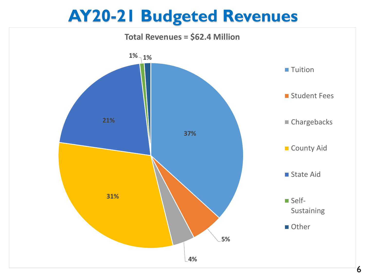#### **AY20-21 Budgeted Revenues**

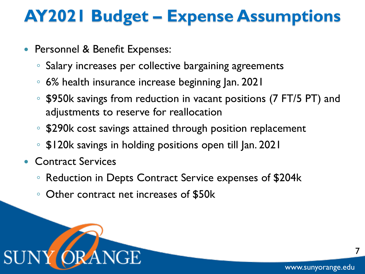## **AY2021 Budget – Expense Assumptions**

- **Personnel & Benefit Expenses:** 
	- Salary increases per collective bargaining agreements
	- 6% health insurance increase beginning Jan. 2021
	- \$950k savings from reduction in vacant positions (7 FT/5 PT) and adjustments to reserve for reallocation
	- \$290k cost savings attained through position replacement
	- \$120k savings in holding positions open till Jan. 2021
- **Contract Services** 
	- Reduction in Depts Contract Service expenses of \$204k
	- Other contract net increases of \$50k



7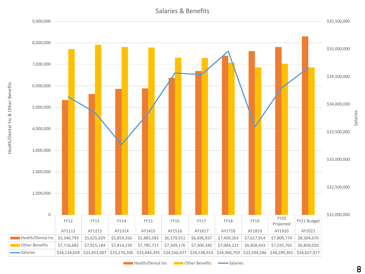

**Health/Dental Ins Communisher Benefits Communishers** Salaries

8

Salaries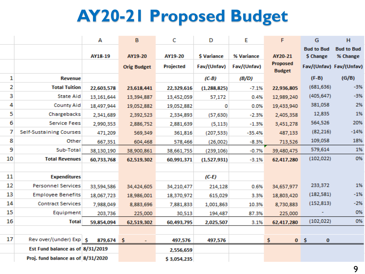# **AY20-21 Proposed Budget**

|    |                                    | А          | B                  | c           | D           | E           | F                                | G                              | H                             |
|----|------------------------------------|------------|--------------------|-------------|-------------|-------------|----------------------------------|--------------------------------|-------------------------------|
|    |                                    | AY18-19    | AY19-20            | AY19-20     | \$ Variance | % Variance  | AY20-21                          | <b>Bud to Bud</b><br>\$ Change | <b>Bud to Bud</b><br>% Change |
|    |                                    |            | <b>Orig Budget</b> | Projected   | Fav/(Unfav) | Fav/(Unfav) | <b>Proposed</b><br><b>Budget</b> |                                | Fav/(Unfav) Fav/(Unfav)       |
| 1  | <b>Revenue</b>                     |            |                    |             | $(C-B)$     | (B/D)       |                                  | $(F-B)$                        | (G/B)                         |
| 2  | <b>Total Tuition</b>               | 22,603,578 | 23,618,441         | 22,329,616  | (1,288,825) | $-7.1%$     | 22,936,805                       | (681, 636)                     | $-3%$                         |
| 3  | <b>State Aid</b>                   | 13,161,644 | 13,394,887         | 13,452,059  | 57,172      | 0.4%        | 12,989,240                       | (405, 647)                     | $-3%$                         |
| 4  | <b>County Aid</b>                  | 18,497,944 | 19,052,882         | 19,052,882  | 0           | 0.0%        | 19,433,940                       | 381,058                        | 2%                            |
| 5  | Chargebacks                        | 2,341,689  | 2,392,523          | 2,334,893   | (57, 630)   | $-2.3%$     | 2,405,358                        | 12,835                         | 1%                            |
| 6  | <b>Service Fees</b>                | 2,990,353  | 2,886,752          | 2,881,639   | (5, 113)    | $-1.3%$     | 3,451,278                        | 564,526                        | 20%                           |
| 7  | Self-Sustaining Courses            | 471,209    | 569,349            | 361,816     | (207, 533)  | $-35.4%$    | 487,133                          | (82, 216)                      | $-14%$                        |
| 8  | Other                              | 667,351    | 604,468            | 578,466     | (26,002)    | $-8.3%$     | 713,526                          | 109,058                        | 18%                           |
| 9  | Sub-Total                          | 38,130,190 | 38,900,861         | 38,661,755  | (239, 106)  | $-0.7%$     | 39,480,475                       | 579,614                        | 1%                            |
| 10 | <b>Total Revenues</b>              | 60,733,768 | 62,519,302         | 60,991,371  | (1,527,931) | $-3.1%$     | 62,417,280                       | (102, 022)                     | 0%                            |
|    |                                    |            |                    |             |             |             |                                  |                                |                               |
| 11 | <b>Expenditures</b>                |            |                    |             | $(C-E)$     |             |                                  |                                |                               |
| 12 | <b>Personnel Services</b>          | 33,594,586 | 34,424,605         | 34,210,477  | 214,128     | 0.6%        | 34,657,977                       | 233,372                        | 1%                            |
| 13 | <b>Employee Benefits</b>           | 18,067,723 | 18,986,001         | 18,370,972  | 615,029     | 3.3%        | 18,803,420                       | (182, 581)                     | $-1%$                         |
| 14 | <b>Contract Services</b>           | 7,988,049  | 8,883,696          | 7,881,833   | 1,001,863   | 10.3%       | 8,730,883                        | (152, 813)                     | $-2%$                         |
| 15 | Equipment                          | 203,736    | 225,000            | 30,513      | 194,487     | 87.3%       | 225,000                          |                                | 0%                            |
| 16 | <b>Total</b>                       | 59,854,094 | 62,519,302         | 60,493,795  | 2,025,507   | 3.1%        | 62,417,280                       | (102, 022)                     | 0%                            |
|    |                                    |            |                    |             |             |             |                                  |                                |                               |
| 17 | Rev over/(under) Exp   S           | 879,674 \$ |                    | 497,576     | 497,576     |             | \$.                              | 0 <sub>5</sub><br>$\bf{0}$     |                               |
|    | Est Fund balance as of 8/31/2019   |            |                    | 2,556,659   |             |             |                                  |                                |                               |
|    | Proj. fund balance as of 8/31/2020 |            |                    | \$3,054,235 |             |             |                                  |                                |                               |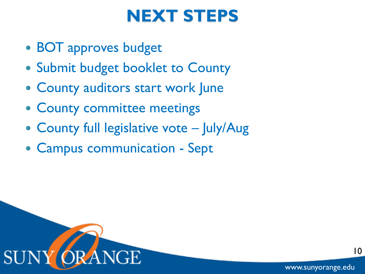#### **NEXT STEPS**

- BOT approves budget
- Submit budget booklet to County
- County auditors start work June
- County committee meetings
- County full legislative vote July/Aug
- Campus communication Sept